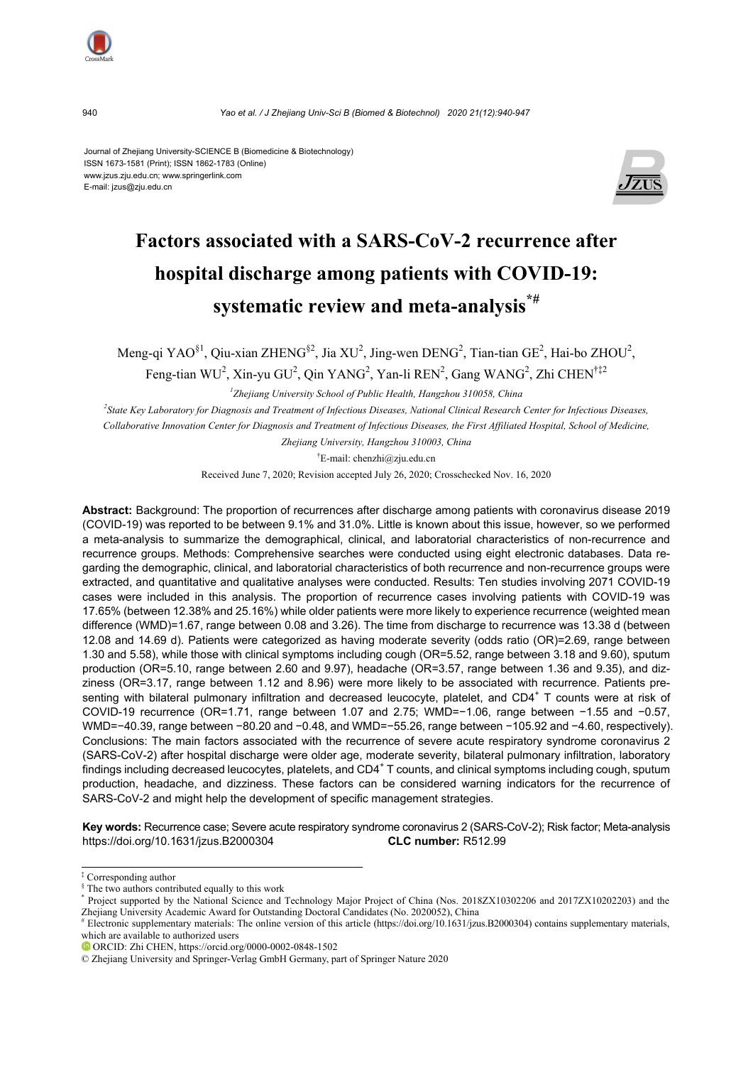

940 *Yao et al. / J Zhejiang Univ-Sci B (Biomed & Biotechnol) 2020 21(12):940-947*

Journal of Zhejiang University-SCIENCE B (Biomedicine & Biotechnology) ISSN 1673-1581 (Print); ISSN 1862-1783 (Online) www.jzus.zju.edu.cn; www.springerlink.com E-mail: jzus@zju.edu.cn



# **Factors associated with a SARS-CoV-2 recurrence after hospital discharge among patients with COVID-19: systematic review and meta-analysis\*#**

Meng-qi YAO $^{81}$ , Qiu-xian ZHENG $^{82}$ , Jia XU<sup>2</sup>, Jing-wen DENG<sup>2</sup>, Tian-tian GE<sup>2</sup>, Hai-bo ZHOU<sup>2</sup>,

Feng-tian WU<sup>2</sup>, Xin-yu GU<sup>2</sup>, Qin YANG<sup>2</sup>, Yan-li REN<sup>2</sup>, Gang WANG<sup>2</sup>, Zhi CHEN<sup>†‡2</sup>

*1 Zhejiang University School of Public Health, Hangzhou 310058, China* 

*2 State Key Laboratory for Diagnosis and Treatment of Infectious Diseases, National Clinical Research Center for Infectious Diseases, Collaborative Innovation Center for Diagnosis and Treatment of Infectious Diseases, the First Affiliated Hospital, School of Medicine,* 

*Zhejiang University, Hangzhou 310003, China* 

† E-mail: chenzhi@zju.edu.cn

Received June 7, 2020; Revision accepted July 26, 2020; Crosschecked Nov. 16, 2020

**Abstract:** Background: The proportion of recurrences after discharge among patients with coronavirus disease 2019 (COVID-19) was reported to be between 9.1% and 31.0%. Little is known about this issue, however, so we performed a meta-analysis to summarize the demographical, clinical, and laboratorial characteristics of non-recurrence and recurrence groups. Methods: Comprehensive searches were conducted using eight electronic databases. Data regarding the demographic, clinical, and laboratorial characteristics of both recurrence and non-recurrence groups were extracted, and quantitative and qualitative analyses were conducted. Results: Ten studies involving 2071 COVID-19 cases were included in this analysis. The proportion of recurrence cases involving patients with COVID-19 was 17.65% (between 12.38% and 25.16%) while older patients were more likely to experience recurrence (weighted mean difference (WMD)=1.67, range between 0.08 and 3.26). The time from discharge to recurrence was 13.38 d (between 12.08 and 14.69 d). Patients were categorized as having moderate severity (odds ratio (OR)=2.69, range between 1.30 and 5.58), while those with clinical symptoms including cough (OR=5.52, range between 3.18 and 9.60), sputum production (OR=5.10, range between 2.60 and 9.97), headache (OR=3.57, range between 1.36 and 9.35), and dizziness (OR=3.17, range between 1.12 and 8.96) were more likely to be associated with recurrence. Patients presenting with bilateral pulmonary infiltration and decreased leucocyte, platelet, and CD4<sup>+</sup> T counts were at risk of COVID-19 recurrence (OR=1.71, range between 1.07 and 2.75; WMD=−1.06, range between −1.55 and −0.57, WMD=−40.39, range between −80.20 and −0.48, and WMD=−55.26, range between −105.92 and −4.60, respectively). Conclusions: The main factors associated with the recurrence of severe acute respiratory syndrome coronavirus 2 (SARS-CoV-2) after hospital discharge were older age, moderate severity, bilateral pulmonary infiltration, laboratory findings including decreased leucocytes, platelets, and CD4<sup>+</sup>T counts, and clinical symptoms including cough, sputum production, headache, and dizziness. These factors can be considered warning indicators for the recurrence of SARS-CoV-2 and might help the development of specific management strategies.

**Key words:** Recurrence case; Severe acute respiratory syndrome coronavirus 2 (SARS-CoV-2); Risk factor; Meta-analysis https://doi.org/10.1631/jzus.B2000304 **CLC number:** R512.99

<sup>‡</sup> Corresponding author

<sup>&</sup>lt;sup>§</sup> The two authors contributed equally to this work \*

Project supported by the National Science and Technology Major Project of China (Nos. 2018ZX10302206 and 2017ZX10202203) and the Zhejiang University Academic Award for Outstanding Doctoral Candidates (No. 2020052), China #

Electronic supplementary materials: The online version of this article (https://doi.org/10.1631/jzus.B2000304) contains supplementary materials, which are available to authorized users

ORCID: Zhi CHEN, https://orcid.org/0000-0002-0848-1502

<sup>©</sup> Zhejiang University and Springer-Verlag GmbH Germany, part of Springer Nature 2020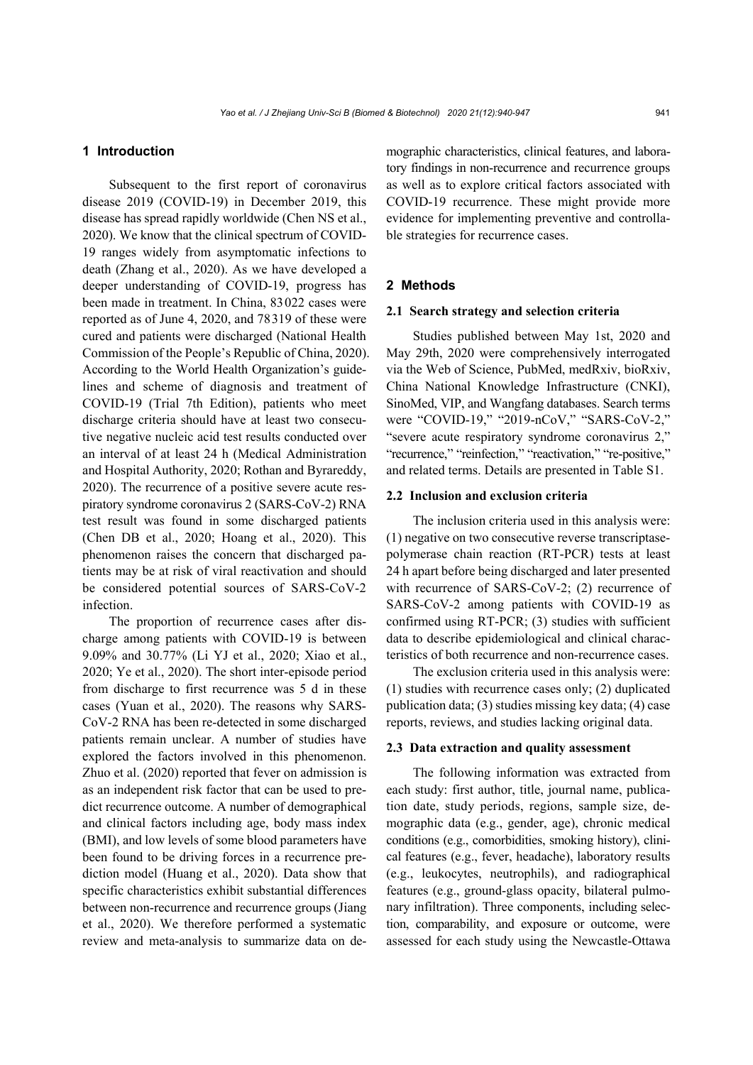## **1 Introduction**

Subsequent to the first report of coronavirus disease 2019 (COVID-19) in December 2019, this disease has spread rapidly worldwide (Chen NS et al., 2020). We know that the clinical spectrum of COVID-19 ranges widely from asymptomatic infections to death (Zhang et al., 2020). As we have developed a deeper understanding of COVID-19, progress has been made in treatment. In China, 83022 cases were reported as of June 4, 2020, and 78319 of these were cured and patients were discharged (National Health Commission of the People's Republic of China, 2020). According to the World Health Organization's guidelines and scheme of diagnosis and treatment of COVID-19 (Trial 7th Edition), patients who meet discharge criteria should have at least two consecutive negative nucleic acid test results conducted over an interval of at least 24 h (Medical Administration and Hospital Authority, 2020; Rothan and Byrareddy, 2020). The recurrence of a positive severe acute respiratory syndrome coronavirus 2 (SARS-CoV-2) RNA test result was found in some discharged patients (Chen DB et al., 2020; Hoang et al., 2020). This phenomenon raises the concern that discharged patients may be at risk of viral reactivation and should be considered potential sources of SARS-CoV-2 infection.

The proportion of recurrence cases after discharge among patients with COVID-19 is between 9.09% and 30.77% (Li YJ et al., 2020; Xiao et al., 2020; Ye et al., 2020). The short inter-episode period from discharge to first recurrence was 5 d in these cases (Yuan et al., 2020). The reasons why SARS-CoV-2 RNA has been re-detected in some discharged patients remain unclear. A number of studies have explored the factors involved in this phenomenon. Zhuo et al. (2020) reported that fever on admission is as an independent risk factor that can be used to predict recurrence outcome. A number of demographical and clinical factors including age, body mass index (BMI), and low levels of some blood parameters have been found to be driving forces in a recurrence prediction model (Huang et al., 2020). Data show that specific characteristics exhibit substantial differences between non-recurrence and recurrence groups (Jiang et al., 2020). We therefore performed a systematic review and meta-analysis to summarize data on demographic characteristics, clinical features, and laboratory findings in non-recurrence and recurrence groups as well as to explore critical factors associated with COVID-19 recurrence. These might provide more evidence for implementing preventive and controllable strategies for recurrence cases.

## **2 Methods**

## **2.1 Search strategy and selection criteria**

Studies published between May 1st, 2020 and May 29th, 2020 were comprehensively interrogated via the Web of Science, PubMed, medRxiv, bioRxiv, China National Knowledge Infrastructure (CNKI), SinoMed, VIP, and Wangfang databases. Search terms were "COVID-19," "2019-nCoV," "SARS-CoV-2," "severe acute respiratory syndrome coronavirus 2," "recurrence," "reinfection," "reactivation," "re-positive," and related terms. Details are presented in Table S1.

## **2.2 Inclusion and exclusion criteria**

The inclusion criteria used in this analysis were: (1) negative on two consecutive reverse transcriptasepolymerase chain reaction (RT-PCR) tests at least 24 h apart before being discharged and later presented with recurrence of SARS-CoV-2; (2) recurrence of SARS-CoV-2 among patients with COVID-19 as confirmed using RT-PCR; (3) studies with sufficient data to describe epidemiological and clinical characteristics of both recurrence and non-recurrence cases.

The exclusion criteria used in this analysis were: (1) studies with recurrence cases only; (2) duplicated publication data; (3) studies missing key data; (4) case reports, reviews, and studies lacking original data.

#### **2.3 Data extraction and quality assessment**

The following information was extracted from each study: first author, title, journal name, publication date, study periods, regions, sample size, demographic data (e.g., gender, age), chronic medical conditions (e.g., comorbidities, smoking history), clinical features (e.g., fever, headache), laboratory results (e.g., leukocytes, neutrophils), and radiographical features (e.g., ground-glass opacity, bilateral pulmonary infiltration). Three components, including selection, comparability, and exposure or outcome, were assessed for each study using the Newcastle-Ottawa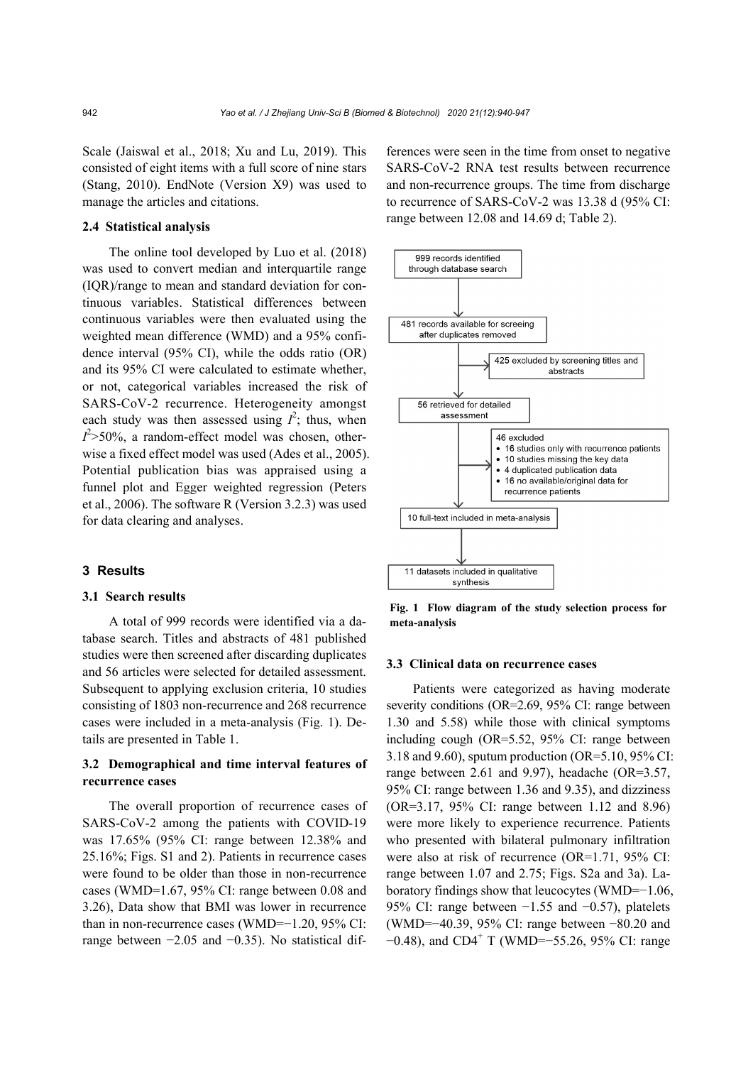Scale (Jaiswal et al., 2018; Xu and Lu, 2019). This consisted of eight items with a full score of nine stars (Stang, 2010). EndNote (Version X9) was used to manage the articles and citations.

## **2.4 Statistical analysis**

The online tool developed by Luo et al. (2018) was used to convert median and interquartile range (IQR)/range to mean and standard deviation for continuous variables. Statistical differences between continuous variables were then evaluated using the weighted mean difference (WMD) and a 95% confidence interval (95% CI), while the odds ratio (OR) and its 95% CI were calculated to estimate whether, or not, categorical variables increased the risk of SARS-CoV-2 recurrence. Heterogeneity amongst each study was then assessed using  $I^2$ ; thus, when  $I^2$  > 50%, a random-effect model was chosen, otherwise a fixed effect model was used (Ades et al., 2005). Potential publication bias was appraised using a funnel plot and Egger weighted regression (Peters et al., 2006). The software R (Version 3.2.3) was used for data clearing and analyses.

## **3 Results**

## **3.1 Search results**

A total of 999 records were identified via a database search. Titles and abstracts of 481 published studies were then screened after discarding duplicates and 56 articles were selected for detailed assessment. Subsequent to applying exclusion criteria, 10 studies consisting of 1803 non-recurrence and 268 recurrence cases were included in a meta-analysis (Fig. 1). Details are presented in Table 1.

## **3.2 Demographical and time interval features of recurrence cases**

The overall proportion of recurrence cases of SARS-CoV-2 among the patients with COVID-19 was 17.65% (95% CI: range between 12.38% and 25.16%; Figs. S1 and 2). Patients in recurrence cases were found to be older than those in non-recurrence cases (WMD=1.67, 95% CI: range between 0.08 and 3.26), Data show that BMI was lower in recurrence than in non-recurrence cases (WMD=−1.20, 95% CI: range between −2.05 and −0.35). No statistical differences were seen in the time from onset to negative SARS-CoV-2 RNA test results between recurrence and non-recurrence groups. The time from discharge to recurrence of SARS-CoV-2 was 13.38 d (95% CI: range between 12.08 and 14.69 d; Table 2).



**Fig. 1 Flow diagram of the study selection process for meta-analysis**

#### **3.3 Clinical data on recurrence cases**

Patients were categorized as having moderate severity conditions (OR=2.69, 95% CI: range between 1.30 and 5.58) while those with clinical symptoms including cough (OR=5.52, 95% CI: range between 3.18 and 9.60), sputum production (OR=5.10, 95% CI: range between 2.61 and 9.97), headache (OR=3.57, 95% CI: range between 1.36 and 9.35), and dizziness (OR=3.17, 95% CI: range between 1.12 and 8.96) were more likely to experience recurrence. Patients who presented with bilateral pulmonary infiltration were also at risk of recurrence (OR=1.71, 95% CI: range between 1.07 and 2.75; Figs. S2a and 3a). Laboratory findings show that leucocytes (WMD=−1.06, 95% CI: range between −1.55 and −0.57), platelets (WMD=−40.39, 95% CI: range between −80.20 and  $-0.48$ ), and CD4<sup>+</sup> T (WMD=−55.26, 95% CI: range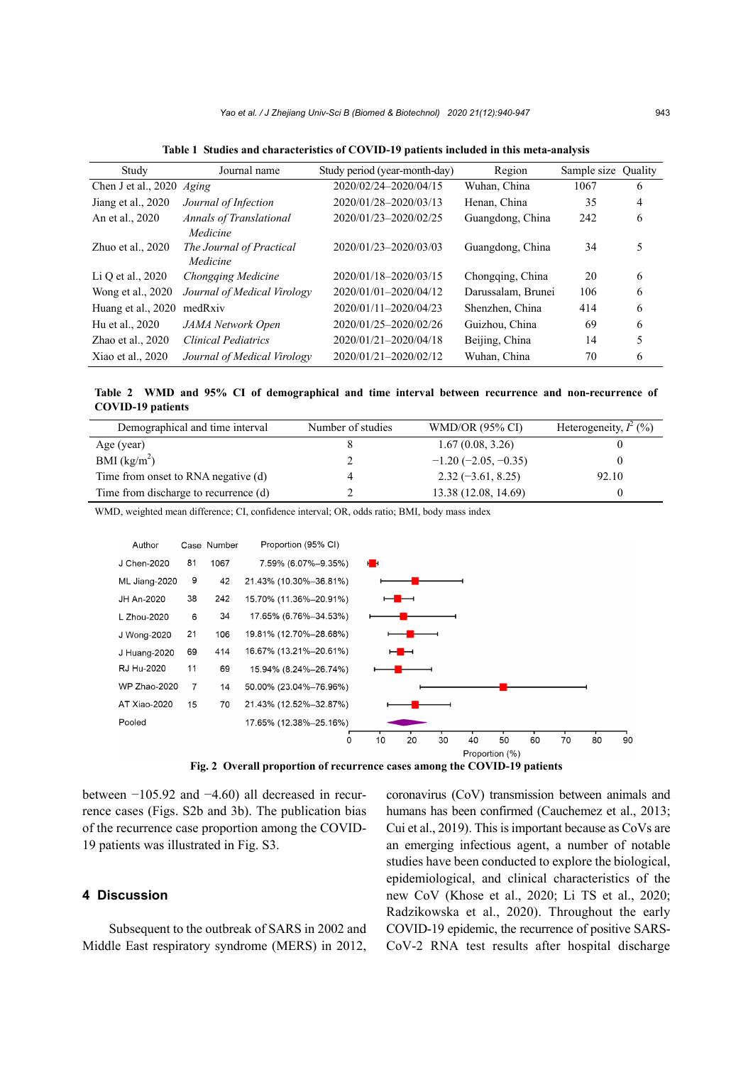| Study               | Journal name                   | Study period (year-month-day) | Region             | Sample size | Quality |
|---------------------|--------------------------------|-------------------------------|--------------------|-------------|---------|
| Chen J et al., 2020 | Aging                          | 2020/02/24-2020/04/15         | Wuhan, China       | 1067        | 6       |
| Jiang et al., 2020  | Journal of Infection           | 2020/01/28-2020/03/13         | Henan, China       | 35          | 4       |
| An et al., 2020     | <b>Annals of Translational</b> | 2020/01/23-2020/02/25         | Guangdong, China   | 242         | 6       |
|                     | Medicine                       |                               |                    |             |         |
| Zhuo et al., $2020$ | The Journal of Practical       | 2020/01/23-2020/03/03         | Guangdong, China   | 34          | 5       |
|                     | Medicine                       |                               |                    |             |         |
| Li Q et al., 2020   | Chongqing Medicine             | 2020/01/18-2020/03/15         | Chongqing, China   | 20          | 6       |
| Wong et al., 2020   | Journal of Medical Virology    | 2020/01/01-2020/04/12         | Darussalam, Brunei | 106         | 6       |
| Huang et al., 2020  | medRxiv                        | 2020/01/11-2020/04/23         | Shenzhen, China    | 414         | 6       |
| Hu et al., 2020     | JAMA Network Open              | 2020/01/25-2020/02/26         | Guizhou, China     | 69          | 6       |
| Zhao et al., $2020$ | <b>Clinical Pediatrics</b>     | 2020/01/21-2020/04/18         | Beijing, China     | 14          | 5       |
| Xiao et al., $2020$ | Journal of Medical Virology    | 2020/01/21-2020/02/12         | Wuhan, China       | 70          | 6       |

**Table 1 Studies and characteristics of COVID-19 patients included in this meta-analysis** 

**Table 2 WMD and 95% CI of demographical and time interval between recurrence and non-recurrence of COVID-19 patients** 

| Demographical and time interval       | Number of studies | <b>WMD/OR (95% CI)</b> | Heterogeneity, $I^2$ (%) |
|---------------------------------------|-------------------|------------------------|--------------------------|
| Age (year)                            |                   | 1.67(0.08, 3.26)       |                          |
| BMI $(kg/m2)$                         |                   | $-1.20(-2.05,-0.35)$   |                          |
| Time from onset to RNA negative (d)   |                   | $2.32(-3.61, 8.25)$    | 92.10                    |
| Time from discharge to recurrence (d) |                   | 13.38 (12.08, 14.69)   |                          |

WMD, weighted mean difference; CI, confidence interval; OR, odds ratio; BMI, body mass index



**Fig. 2 Overall proportion of recurrence cases among the COVID-19 patients**

between −105.92 and −4.60) all decreased in recurrence cases (Figs. S2b and 3b). The publication bias of the recurrence case proportion among the COVID-19 patients was illustrated in Fig. S3.

## **4 Discussion**

Subsequent to the outbreak of SARS in 2002 and Middle East respiratory syndrome (MERS) in 2012, coronavirus (CoV) transmission between animals and humans has been confirmed (Cauchemez et al., 2013; Cui et al., 2019). This is important because as CoVs are an emerging infectious agent, a number of notable studies have been conducted to explore the biological, epidemiological, and clinical characteristics of the new CoV (Khose et al., 2020; Li TS et al., 2020; Radzikowska et al., 2020). Throughout the early COVID-19 epidemic, the recurrence of positive SARS-CoV-2 RNA test results after hospital discharge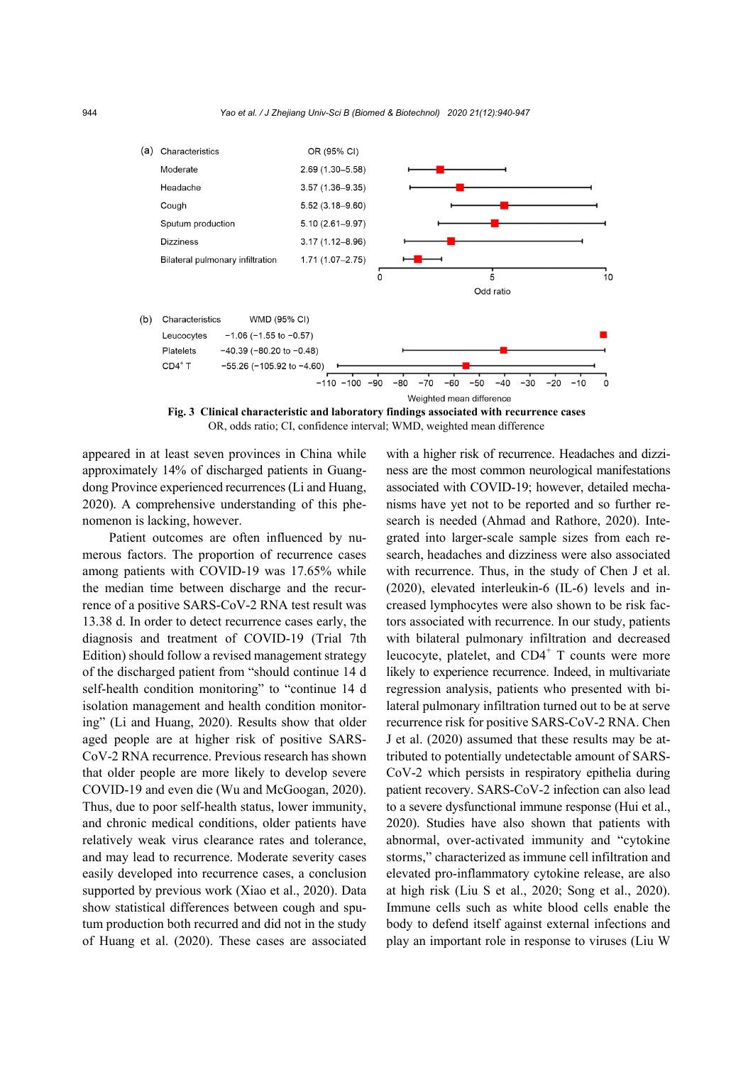

**Fig. 3 Clinical characteristic and laboratory findings associated with recurrence cases**  OR, odds ratio; CI, confidence interval; WMD, weighted mean difference

appeared in at least seven provinces in China while approximately 14% of discharged patients in Guangdong Province experienced recurrences (Li and Huang, 2020). A comprehensive understanding of this phenomenon is lacking, however.

Patient outcomes are often influenced by numerous factors. The proportion of recurrence cases among patients with COVID-19 was 17.65% while the median time between discharge and the recurrence of a positive SARS-CoV-2 RNA test result was 13.38 d. In order to detect recurrence cases early, the diagnosis and treatment of COVID-19 (Trial 7th Edition) should follow a revised management strategy of the discharged patient from "should continue 14 d self-health condition monitoring" to "continue 14 d isolation management and health condition monitoring" (Li and Huang, 2020). Results show that older aged people are at higher risk of positive SARS-CoV-2 RNA recurrence. Previous research has shown that older people are more likely to develop severe COVID-19 and even die (Wu and McGoogan, 2020). Thus, due to poor self-health status, lower immunity, and chronic medical conditions, older patients have relatively weak virus clearance rates and tolerance, and may lead to recurrence. Moderate severity cases easily developed into recurrence cases, a conclusion supported by previous work (Xiao et al., 2020). Data show statistical differences between cough and sputum production both recurred and did not in the study of Huang et al. (2020). These cases are associated with a higher risk of recurrence. Headaches and dizziness are the most common neurological manifestations associated with COVID-19; however, detailed mechanisms have yet not to be reported and so further research is needed (Ahmad and Rathore, 2020). Integrated into larger-scale sample sizes from each research, headaches and dizziness were also associated with recurrence. Thus, in the study of Chen J et al. (2020), elevated interleukin-6 (IL-6) levels and increased lymphocytes were also shown to be risk factors associated with recurrence. In our study, patients with bilateral pulmonary infiltration and decreased leucocyte, platelet, and  $CD4^+$  T counts were more likely to experience recurrence. Indeed, in multivariate regression analysis, patients who presented with bilateral pulmonary infiltration turned out to be at serve recurrence risk for positive SARS-CoV-2 RNA. Chen J et al. (2020) assumed that these results may be attributed to potentially undetectable amount of SARS-CoV-2 which persists in respiratory epithelia during patient recovery. SARS-CoV-2 infection can also lead to a severe dysfunctional immune response (Hui et al., 2020). Studies have also shown that patients with abnormal, over-activated immunity and "cytokine storms," characterized as immune cell infiltration and elevated pro-inflammatory cytokine release, are also at high risk (Liu S et al., 2020; Song et al., 2020). Immune cells such as white blood cells enable the body to defend itself against external infections and play an important role in response to viruses (Liu W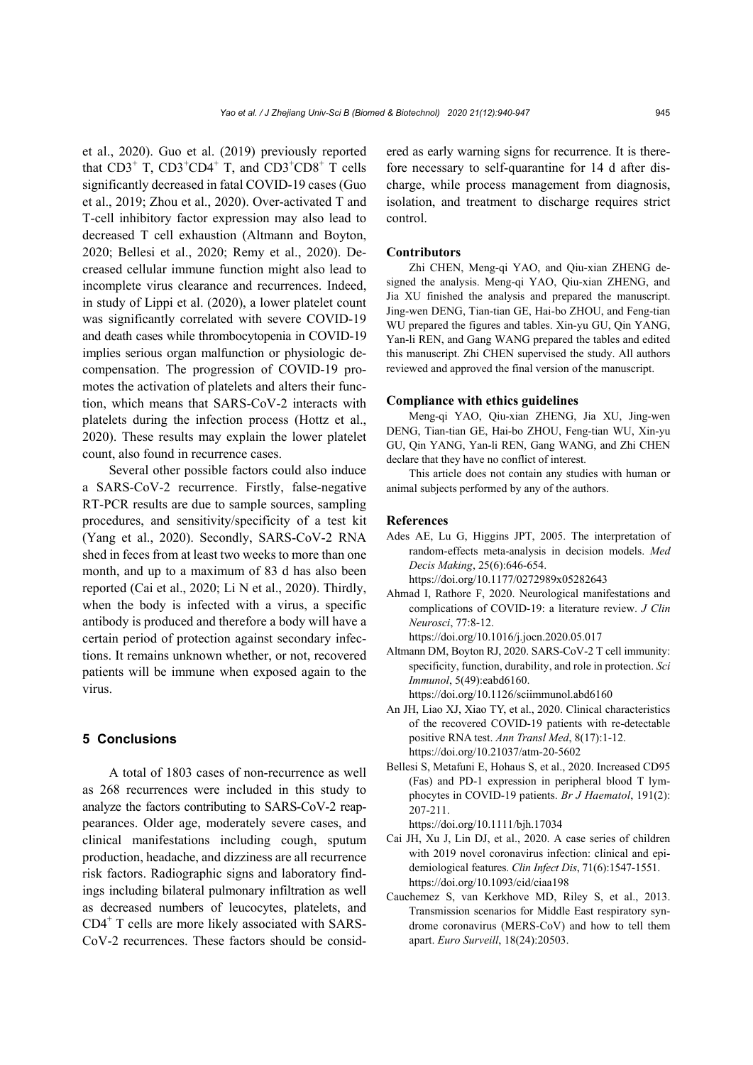et al., 2020). Guo et al. (2019) previously reported that  $CD3^+$  T,  $CD3^+CD4^+$  T, and  $CD3^+CD8^+$  T cells significantly decreased in fatal COVID-19 cases (Guo et al., 2019; Zhou et al., 2020). Over-activated T and T-cell inhibitory factor expression may also lead to decreased T cell exhaustion (Altmann and Boyton, 2020; Bellesi et al., 2020; Remy et al., 2020). Decreased cellular immune function might also lead to incomplete virus clearance and recurrences. Indeed, in study of Lippi et al. (2020), a lower platelet count was significantly correlated with severe COVID-19 and death cases while thrombocytopenia in COVID-19 implies serious organ malfunction or physiologic decompensation. The progression of COVID-19 promotes the activation of platelets and alters their function, which means that SARS-CoV-2 interacts with platelets during the infection process (Hottz et al., 2020). These results may explain the lower platelet count, also found in recurrence cases.

Several other possible factors could also induce a SARS-CoV-2 recurrence. Firstly, false-negative RT-PCR results are due to sample sources, sampling procedures, and sensitivity/specificity of a test kit (Yang et al., 2020). Secondly, SARS-CoV-2 RNA shed in feces from at least two weeks to more than one month, and up to a maximum of 83 d has also been reported (Cai et al., 2020; Li N et al., 2020). Thirdly, when the body is infected with a virus, a specific antibody is produced and therefore a body will have a certain period of protection against secondary infections. It remains unknown whether, or not, recovered patients will be immune when exposed again to the virus.

## **5 Conclusions**

A total of 1803 cases of non-recurrence as well as 268 recurrences were included in this study to analyze the factors contributing to SARS-CoV-2 reappearances. Older age, moderately severe cases, and clinical manifestations including cough, sputum production, headache, and dizziness are all recurrence risk factors. Radiographic signs and laboratory findings including bilateral pulmonary infiltration as well as decreased numbers of leucocytes, platelets, and CD4+ T cells are more likely associated with SARS-CoV-2 recurrences. These factors should be considered as early warning signs for recurrence. It is therefore necessary to self-quarantine for 14 d after discharge, while process management from diagnosis, isolation, and treatment to discharge requires strict control.

## **Contributors**

Zhi CHEN, Meng-qi YAO, and Qiu-xian ZHENG designed the analysis. Meng-qi YAO, Qiu-xian ZHENG, and Jia XU finished the analysis and prepared the manuscript. Jing-wen DENG, Tian-tian GE, Hai-bo ZHOU, and Feng-tian WU prepared the figures and tables. Xin-yu GU, Qin YANG, Yan-li REN, and Gang WANG prepared the tables and edited this manuscript. Zhi CHEN supervised the study. All authors reviewed and approved the final version of the manuscript.

## **Compliance with ethics guidelines**

Meng-qi YAO, Qiu-xian ZHENG, Jia XU, Jing-wen DENG, Tian-tian GE, Hai-bo ZHOU, Feng-tian WU, Xin-yu GU, Qin YANG, Yan-li REN, Gang WANG, and Zhi CHEN declare that they have no conflict of interest.

This article does not contain any studies with human or animal subjects performed by any of the authors.

## **References**

- Ades AE, Lu G, Higgins JPT, 2005. The interpretation of random-effects meta-analysis in decision models. *Med Decis Making*, 25(6):646-654. https://doi.org/10.1177/0272989x05282643
- Ahmad I, Rathore F, 2020. Neurological manifestations and complications of COVID-19: a literature review. *J Clin Neurosci*, 77:8-12.

https://doi.org/10.1016/j.jocn.2020.05.017

- Altmann DM, Boyton RJ, 2020. SARS-CoV-2 T cell immunity: specificity, function, durability, and role in protection. *Sci Immunol*, 5(49):eabd6160. https://doi.org/10.1126/sciimmunol.abd6160
- An JH, Liao XJ, Xiao TY, et al., 2020. Clinical characteristics of the recovered COVID-19 patients with re-detectable positive RNA test. *Ann Transl Med*, 8(17):1-12. https://doi.org/10.21037/atm-20-5602
- Bellesi S, Metafuni E, Hohaus S, et al., 2020. Increased CD95 (Fas) and PD-1 expression in peripheral blood T lymphocytes in COVID-19 patients. *Br J Haematol*, 191(2): 207-211.

https://doi.org/10.1111/bjh.17034

- Cai JH, Xu J, Lin DJ, et al., 2020. A case series of children with 2019 novel coronavirus infection: clinical and epidemiological features. *Clin Infect Dis*, 71(6):1547-1551. https://doi.org/10.1093/cid/ciaa198
- Cauchemez S, van Kerkhove MD, Riley S, et al., 2013. Transmission scenarios for Middle East respiratory syndrome coronavirus (MERS-CoV) and how to tell them apart. *Euro Surveill*, 18(24):20503.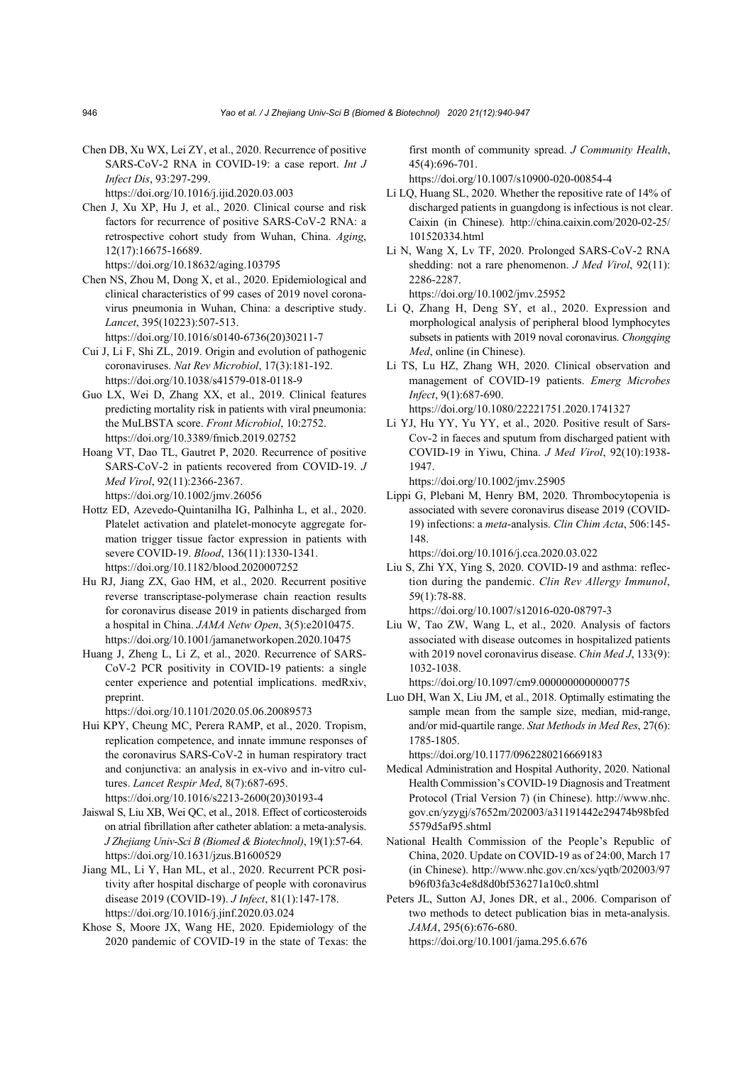Chen DB, Xu WX, Lei ZY, et al., 2020. Recurrence of positive SARS-CoV-2 RNA in COVID-19: a case report. *Int J Infect Dis*, 93:297-299.

https://doi.org/10.1016/j.ijid.2020.03.003

Chen J, Xu XP, Hu J, et al., 2020. Clinical course and risk factors for recurrence of positive SARS-CoV-2 RNA: a retrospective cohort study from Wuhan, China. *Aging*, 12(17):16675-16689.

https://doi.org/10.18632/aging.103795

Chen NS, Zhou M, Dong X, et al., 2020. Epidemiological and clinical characteristics of 99 cases of 2019 novel coronavirus pneumonia in Wuhan, China: a descriptive study. *Lancet*, 395(10223):507-513.

https://doi.org/10.1016/s0140-6736(20)30211-7

- Cui J, Li F, Shi ZL, 2019. Origin and evolution of pathogenic coronaviruses. *Nat Rev Microbiol*, 17(3):181-192. https://doi.org/10.1038/s41579-018-0118-9
- Guo LX, Wei D, Zhang XX, et al., 2019. Clinical features predicting mortality risk in patients with viral pneumonia: the MuLBSTA score. *Front Microbiol*, 10:2752. https://doi.org/10.3389/fmicb.2019.02752
- Hoang VT, Dao TL, Gautret P, 2020. Recurrence of positive SARS-CoV-2 in patients recovered from COVID-19. *J Med Virol*, 92(11):2366-2367. https://doi.org/10.1002/jmv.26056

Hottz ED, Azevedo-Quintanilha IG, Palhinha L, et al., 2020.

- Platelet activation and platelet-monocyte aggregate formation trigger tissue factor expression in patients with severe COVID-19. *Blood*, 136(11):1330-1341. https://doi.org/10.1182/blood.2020007252
- Hu RJ, Jiang ZX, Gao HM, et al., 2020. Recurrent positive reverse transcriptase-polymerase chain reaction results for coronavirus disease 2019 in patients discharged from a hospital in China. *JAMA Netw Open*, 3(5):e2010475. https://doi.org/10.1001/jamanetworkopen.2020.10475
- Huang J, Zheng L, Li Z, et al., 2020. Recurrence of SARS-CoV-2 PCR positivity in COVID-19 patients: a single center experience and potential implications. medRxiv, preprint.

https://doi.org/10.1101/2020.05.06.20089573

- Hui KPY, Cheung MC, Perera RAMP, et al., 2020. Tropism, replication competence, and innate immune responses of the coronavirus SARS-CoV-2 in human respiratory tract and conjunctiva: an analysis in ex-vivo and in-vitro cultures. *Lancet Respir Med*, 8(7):687-695. https://doi.org/10.1016/s2213-2600(20)30193-4
- Jaiswal S, Liu XB, Wei QC, et al., 2018. Effect of corticosteroids on atrial fibrillation after catheter ablation: a meta-analysis. *J Zhejiang Univ-Sci B (Biomed & Biotechnol)*, 19(1):57-64. https://doi.org/10.1631/jzus.B1600529
- Jiang ML, Li Y, Han ML, et al., 2020. Recurrent PCR positivity after hospital discharge of people with coronavirus disease 2019 (COVID-19). *J Infect*, 81(1):147-178. https://doi.org/10.1016/j.jinf.2020.03.024
- Khose S, Moore JX, Wang HE, 2020. Epidemiology of the 2020 pandemic of COVID-19 in the state of Texas: the

first month of community spread. *J Community Health*, 45(4):696-701.

https://doi.org/10.1007/s10900-020-00854-4

- Li LQ, Huang SL, 2020. Whether the repositive rate of 14% of discharged patients in guangdong is infectious is not clear. Caixin (in Chinese). http://china.caixin.com/2020-02-25/ 101520334.html
- Li N, Wang X, Lv TF, 2020. Prolonged SARS-CoV-2 RNA shedding: not a rare phenomenon. *J Med Virol*, 92(11): 2286-2287. https://doi.org/10.1002/jmv.25952
- Li Q, Zhang H, Deng SY, et al., 2020. Expression and morphological analysis of peripheral blood lymphocytes subsets in patients with 2019 noval coronavirus. *Chongqing Med*, online (in Chinese).
- Li TS, Lu HZ, Zhang WH, 2020. Clinical observation and management of COVID-19 patients. *Emerg Microbes Infect*, 9(1):687-690. https://doi.org/10.1080/22221751.2020.1741327
- Li YJ, Hu YY, Yu YY, et al., 2020. Positive result of Sars-Cov-2 in faeces and sputum from discharged patient with COVID-19 in Yiwu, China. *J Med Virol*, 92(10):1938- 1947.

https://doi.org/10.1002/jmv.25905

Lippi G, Plebani M, Henry BM, 2020. Thrombocytopenia is associated with severe coronavirus disease 2019 (COVID-19) infections: a *meta*-analysis. *Clin Chim Acta*, 506:145- 148.

https://doi.org/10.1016/j.cca.2020.03.022

Liu S, Zhi YX, Ying S, 2020. COVID-19 and asthma: reflection during the pandemic. *Clin Rev Allergy Immunol*, 59(1):78-88.

https://doi.org/10.1007/s12016-020-08797-3

Liu W, Tao ZW, Wang L, et al., 2020. Analysis of factors associated with disease outcomes in hospitalized patients with 2019 novel coronavirus disease. *Chin Med J*, 133(9): 1032-1038.

https://doi.org/10.1097/cm9.0000000000000775

Luo DH, Wan X, Liu JM, et al., 2018. Optimally estimating the sample mean from the sample size, median, mid-range, and/or mid-quartile range. *Stat Methods in Med Res*, 27(6): 1785-1805.

https://doi.org/10.1177/0962280216669183

- Medical Administration and Hospital Authority, 2020. National Health Commission's COVID-19 Diagnosis and Treatment Protocol (Trial Version 7) (in Chinese). http://www.nhc. gov.cn/yzygj/s7652m/202003/a31191442e29474b98bfed 5579d5af95.shtml
- National Health Commission of the People's Republic of China, 2020. Update on COVID-19 as of 24:00, March 17 (in Chinese). http://www.nhc.gov.cn/xcs/yqtb/202003/97 b96f03fa3c4e8d8d0bf536271a10c0.shtml
- Peters JL, Sutton AJ, Jones DR, et al., 2006. Comparison of two methods to detect publication bias in meta-analysis. *JAMA*, 295(6):676-680. https://doi.org/10.1001/jama.295.6.676